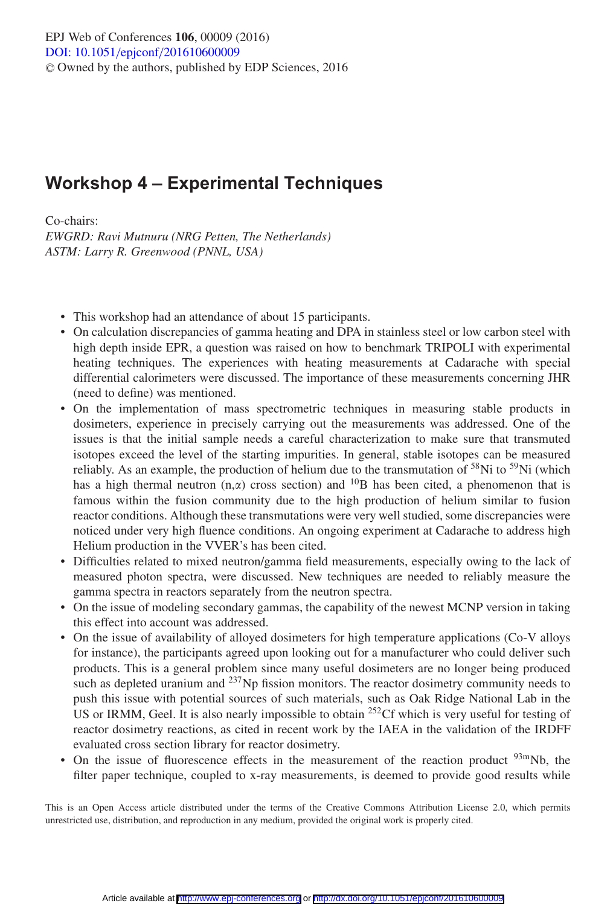## **Workshop 4 – Experimental Techniques**

Co-chairs: *EWGRD: Ravi Mutnuru (NRG Petten, The Netherlands) ASTM: Larry R. Greenwood (PNNL, USA)*

- This workshop had an attendance of about 15 participants.
- On calculation discrepancies of gamma heating and DPA in stainless steel or low carbon steel with high depth inside EPR, a question was raised on how to benchmark TRIPOLI with experimental heating techniques. The experiences with heating measurements at Cadarache with special differential calorimeters were discussed. The importance of these measurements concerning JHR (need to define) was mentioned.
- On the implementation of mass spectrometric techniques in measuring stable products in dosimeters, experience in precisely carrying out the measurements was addressed. One of the issues is that the initial sample needs a careful characterization to make sure that transmuted isotopes exceed the level of the starting impurities. In general, stable isotopes can be measured reliably. As an example, the production of helium due to the transmutation of  $58\text{Ni}$  to  $59\text{Ni}$  (which has a high thermal neutron  $(n, \alpha)$  cross section) and <sup>10</sup>B has been cited, a phenomenon that is famous within the fusion community due to the high production of helium similar to fusion reactor conditions. Although these transmutations were very well studied, some discrepancies were noticed under very high fluence conditions. An ongoing experiment at Cadarache to address high Helium production in the VVER's has been cited.
- Difficulties related to mixed neutron/gamma field measurements, especially owing to the lack of measured photon spectra, were discussed. New techniques are needed to reliably measure the gamma spectra in reactors separately from the neutron spectra.
- On the issue of modeling secondary gammas, the capability of the newest MCNP version in taking this effect into account was addressed.
- On the issue of availability of alloyed dosimeters for high temperature applications (Co-V alloys for instance), the participants agreed upon looking out for a manufacturer who could deliver such products. This is a general problem since many useful dosimeters are no longer being produced such as depleted uranium and  $^{237}$ Np fission monitors. The reactor dosimetry community needs to push this issue with potential sources of such materials, such as Oak Ridge National Lab in the US or IRMM, Geel. It is also nearly impossible to obtain  $^{252}$ Cf which is very useful for testing of reactor dosimetry reactions, as cited in recent work by the IAEA in the validation of the IRDFF evaluated cross section library for reactor dosimetry.
- On the issue of fluorescence effects in the measurement of the reaction product  $93 \text{mNb}$ , the filter paper technique, coupled to x-ray measurements, is deemed to provide good results while

This is an Open Access article distributed under the terms of the Creative Commons Attribution License 2.0, which permits unrestricted use, distribution, and reproduction in any medium, provided the original work is properly cited.